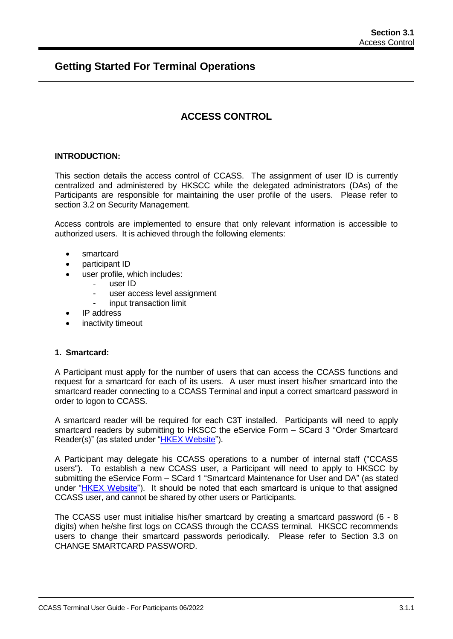# **Getting Started For Terminal Operations**

# **ACCESS CONTROL**

## **INTRODUCTION:**

This section details the access control of CCASS. The assignment of user ID is currently centralized and administered by HKSCC while the delegated administrators (DAs) of the Participants are responsible for maintaining the user profile of the users. Please refer to section 3.2 on Security Management.

Access controls are implemented to ensure that only relevant information is accessible to authorized users. It is achieved through the following elements:

- smartcard
- participant ID
- user profile, which includes:
	- user ID
	- user access level assignment
	- input transaction limit
- IP address
- inactivity timeout

### **1. Smartcard:**

A Participant must apply for the number of users that can access the CCASS functions and request for a smartcard for each of its users. A user must insert his/her smartcard into the smartcard reader connecting to a CCASS Terminal and input a correct smartcard password in order to logon to CCASS.

A smartcard reader will be required for each C3T installed. Participants will need to apply smartcard readers by submitting to HKSCC the eService Form – SCard 3 "Order Smartcard Reader(s)" (as stated under "HKEX [Website"](http://www.hkex.com.hk/Services/Rules-and-Forms-and-Fees/Forms/Securities-(Hong-Kong)/Clearing/Participantship-Membership?sc_lang=en)).

A Participant may delegate his CCASS operations to a number of internal staff ("CCASS users"). To establish a new CCASS user, a Participant will need to apply to HKSCC by submitting the eService Form – SCard 1 "Smartcard Maintenance for User and DA" (as stated under "HKEX [Website"](http://www.hkex.com.hk/Services/Rules-and-Forms-and-Fees/Forms/Securities-(Hong-Kong)/Clearing/Participantship-Membership?sc_lang=en)). It should be noted that each smartcard is unique to that assigned CCASS user, and cannot be shared by other users or Participants.

The CCASS user must initialise his/her smartcard by creating a smartcard password (6 - 8 digits) when he/she first logs on CCASS through the CCASS terminal. HKSCC recommends users to change their smartcard passwords periodically. Please refer to Section 3.3 on CHANGE SMARTCARD PASSWORD.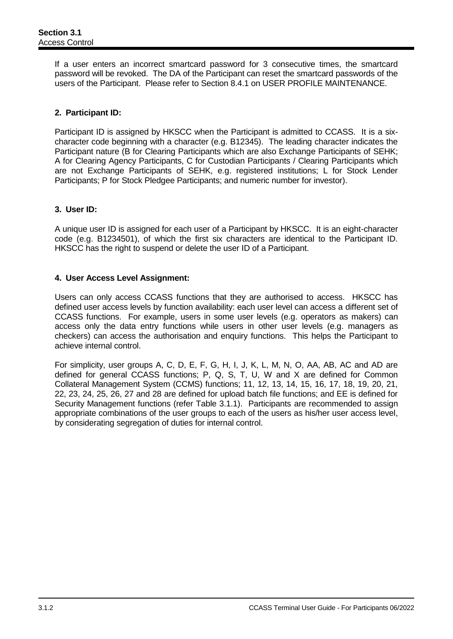If a user enters an incorrect smartcard password for 3 consecutive times, the smartcard password will be revoked. The DA of the Participant can reset the smartcard passwords of the users of the Participant. Please refer to Section 8.4.1 on USER PROFILE MAINTENANCE.

# **2. Participant ID:**

Participant ID is assigned by HKSCC when the Participant is admitted to CCASS. It is a sixcharacter code beginning with a character (e.g. B12345). The leading character indicates the Participant nature (B for Clearing Participants which are also Exchange Participants of SEHK; A for Clearing Agency Participants, C for Custodian Participants / Clearing Participants which are not Exchange Participants of SEHK, e.g. registered institutions; L for Stock Lender Participants; P for Stock Pledgee Participants; and numeric number for investor).

# **3. User ID:**

A unique user ID is assigned for each user of a Participant by HKSCC. It is an eight-character code (e.g. B1234501), of which the first six characters are identical to the Participant ID. HKSCC has the right to suspend or delete the user ID of a Participant.

# **4. User Access Level Assignment:**

Users can only access CCASS functions that they are authorised to access. HKSCC has defined user access levels by function availability: each user level can access a different set of CCASS functions. For example, users in some user levels (e.g. operators as makers) can access only the data entry functions while users in other user levels (e.g. managers as checkers) can access the authorisation and enquiry functions. This helps the Participant to achieve internal control.

For simplicity, user groups A, C, D, E, F, G, H, I, J, K, L, M, N, O, AA, AB, AC and AD are defined for general CCASS functions; P, Q, S, T, U, W and X are defined for Common Collateral Management System (CCMS) functions; 11, 12, 13, 14, 15, 16, 17, 18, 19, 20, 21, 22, 23, 24, 25, 26, 27 and 28 are defined for upload batch file functions; and EE is defined for Security Management functions (refer Table 3.1.1). Participants are recommended to assign appropriate combinations of the user groups to each of the users as his/her user access level, by considerating segregation of duties for internal control.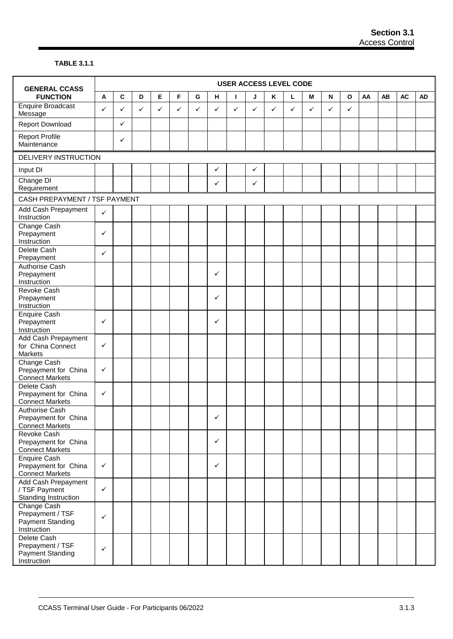## **TABLE 3.1.1**

| <b>GENERAL CCASS</b>                                                    |              |              |   |              |   |   |              |   |              |   | <b>USER ACCESS LEVEL CODE</b> |              |                           |              |    |    |           |           |
|-------------------------------------------------------------------------|--------------|--------------|---|--------------|---|---|--------------|---|--------------|---|-------------------------------|--------------|---------------------------|--------------|----|----|-----------|-----------|
| <b>FUNCTION</b>                                                         | A            | $\mathbf{C}$ | D | $\mathsf E$  | F | G | н            | L | J            | Κ | г                             | M            | $\boldsymbol{\mathsf{N}}$ | $\mathbf{o}$ | AA | AB | <b>AC</b> | <b>AD</b> |
| <b>Enquire Broadcast</b><br>Message                                     | $\checkmark$ | ✓            | ✓ | $\checkmark$ | ✓ | ✓ | ✓            | ✓ | ✓            | ✓ | ✓                             | $\checkmark$ | ✓                         | $\checkmark$ |    |    |           |           |
| <b>Report Download</b>                                                  |              | ✓            |   |              |   |   |              |   |              |   |                               |              |                           |              |    |    |           |           |
| <b>Report Profile</b><br>Maintenance                                    |              | ✓            |   |              |   |   |              |   |              |   |                               |              |                           |              |    |    |           |           |
| DELIVERY INSTRUCTION                                                    |              |              |   |              |   |   |              |   |              |   |                               |              |                           |              |    |    |           |           |
| Input DI                                                                |              |              |   |              |   |   | $\checkmark$ |   | $\checkmark$ |   |                               |              |                           |              |    |    |           |           |
| Change DI<br>Requirement                                                |              |              |   |              |   |   | ✓            |   | $\checkmark$ |   |                               |              |                           |              |    |    |           |           |
| CASH PREPAYMENT / TSF PAYMENT                                           |              |              |   |              |   |   |              |   |              |   |                               |              |                           |              |    |    |           |           |
| Add Cash Prepayment<br>Instruction                                      | $\checkmark$ |              |   |              |   |   |              |   |              |   |                               |              |                           |              |    |    |           |           |
| Change Cash<br>Prepayment<br>Instruction                                | $\checkmark$ |              |   |              |   |   |              |   |              |   |                               |              |                           |              |    |    |           |           |
| Delete Cash<br>Prepayment                                               | $\checkmark$ |              |   |              |   |   |              |   |              |   |                               |              |                           |              |    |    |           |           |
| Authorise Cash<br>Prepayment<br>Instruction                             |              |              |   |              |   |   | ✓            |   |              |   |                               |              |                           |              |    |    |           |           |
| <b>Revoke Cash</b><br>Prepayment<br>Instruction                         |              |              |   |              |   |   | ✓            |   |              |   |                               |              |                           |              |    |    |           |           |
| Enquire Cash<br>Prepayment<br>Instruction                               | $\checkmark$ |              |   |              |   |   | $\checkmark$ |   |              |   |                               |              |                           |              |    |    |           |           |
| Add Cash Prepayment<br>for China Connect<br>Markets                     | $\checkmark$ |              |   |              |   |   |              |   |              |   |                               |              |                           |              |    |    |           |           |
| Change Cash<br>Prepayment for China<br><b>Connect Markets</b>           | $\checkmark$ |              |   |              |   |   |              |   |              |   |                               |              |                           |              |    |    |           |           |
| Delete Cash<br>Prepayment for China<br><b>Connect Markets</b>           | $\checkmark$ |              |   |              |   |   |              |   |              |   |                               |              |                           |              |    |    |           |           |
| <b>Authorise Cash</b><br>Prepayment for China<br><b>Connect Markets</b> |              |              |   |              |   |   | $\checkmark$ |   |              |   |                               |              |                           |              |    |    |           |           |
| Revoke Cash<br>Prepayment for China<br><b>Connect Markets</b>           |              |              |   |              |   |   | $\checkmark$ |   |              |   |                               |              |                           |              |    |    |           |           |
| <b>Enquire Cash</b><br>Prepayment for China<br><b>Connect Markets</b>   | $\checkmark$ |              |   |              |   |   | $\checkmark$ |   |              |   |                               |              |                           |              |    |    |           |           |
| Add Cash Prepayment<br>/ TSF Payment<br>Standing Instruction            | $\checkmark$ |              |   |              |   |   |              |   |              |   |                               |              |                           |              |    |    |           |           |
| Change Cash<br>Prepayment / TSF<br>Payment Standing<br>Instruction      | $\checkmark$ |              |   |              |   |   |              |   |              |   |                               |              |                           |              |    |    |           |           |
| Delete Cash<br>Prepayment / TSF<br>Payment Standing<br>Instruction      | $\checkmark$ |              |   |              |   |   |              |   |              |   |                               |              |                           |              |    |    |           |           |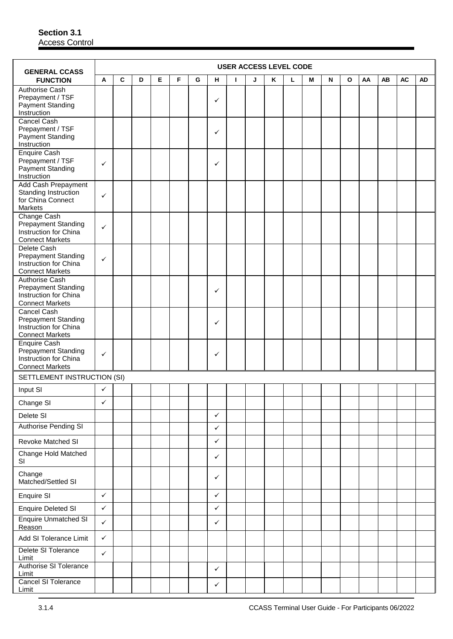| <b>GENERAL CCASS</b>                                                                            |              |   |   |   |   |   |              |   |   |   | <b>USER ACCESS LEVEL CODE</b> |   |           |   |    |    |           |           |
|-------------------------------------------------------------------------------------------------|--------------|---|---|---|---|---|--------------|---|---|---|-------------------------------|---|-----------|---|----|----|-----------|-----------|
| <b>FUNCTION</b>                                                                                 | A            | C | D | Е | F | G | н            | L | J | Κ | г                             | М | ${\sf N}$ | O | AA | AB | <b>AC</b> | <b>AD</b> |
| Authorise Cash<br>Prepayment / TSF<br><b>Payment Standing</b><br>Instruction                    |              |   |   |   |   |   | ✓            |   |   |   |                               |   |           |   |    |    |           |           |
| Cancel Cash<br>Prepayment / TSF<br><b>Payment Standing</b><br>Instruction                       |              |   |   |   |   |   | ✓            |   |   |   |                               |   |           |   |    |    |           |           |
| Enquire Cash<br>Prepayment / TSF<br><b>Payment Standing</b><br>Instruction                      | ✓            |   |   |   |   |   | ✓            |   |   |   |                               |   |           |   |    |    |           |           |
| Add Cash Prepayment<br>Standing Instruction<br>for China Connect<br><b>Markets</b>              | ✓            |   |   |   |   |   |              |   |   |   |                               |   |           |   |    |    |           |           |
| Change Cash<br><b>Prepayment Standing</b><br>Instruction for China<br><b>Connect Markets</b>    | ✓            |   |   |   |   |   |              |   |   |   |                               |   |           |   |    |    |           |           |
| Delete Cash<br><b>Prepayment Standing</b><br>Instruction for China<br><b>Connect Markets</b>    | ✓            |   |   |   |   |   |              |   |   |   |                               |   |           |   |    |    |           |           |
| Authorise Cash<br><b>Prepayment Standing</b><br>Instruction for China<br><b>Connect Markets</b> |              |   |   |   |   |   | ✓            |   |   |   |                               |   |           |   |    |    |           |           |
| Cancel Cash<br><b>Prepayment Standing</b><br>Instruction for China<br><b>Connect Markets</b>    |              |   |   |   |   |   | ✓            |   |   |   |                               |   |           |   |    |    |           |           |
| Enquire Cash<br><b>Prepayment Standing</b><br>Instruction for China<br><b>Connect Markets</b>   | ✓            |   |   |   |   |   | $\checkmark$ |   |   |   |                               |   |           |   |    |    |           |           |
| SETTLEMENT INSTRUCTION (SI)                                                                     |              |   |   |   |   |   |              |   |   |   |                               |   |           |   |    |    |           |           |
| Input SI                                                                                        | ✓            |   |   |   |   |   |              |   |   |   |                               |   |           |   |    |    |           |           |
| Change SI                                                                                       | ✓            |   |   |   |   |   |              |   |   |   |                               |   |           |   |    |    |           |           |
| Delete SI                                                                                       |              |   |   |   |   |   | $\checkmark$ |   |   |   |                               |   |           |   |    |    |           |           |
| <b>Authorise Pending SI</b>                                                                     |              |   |   |   |   |   | $\checkmark$ |   |   |   |                               |   |           |   |    |    |           |           |
| Revoke Matched SI                                                                               |              |   |   |   |   |   | ✓            |   |   |   |                               |   |           |   |    |    |           |           |
| Change Hold Matched<br>SI                                                                       |              |   |   |   |   |   | ✓            |   |   |   |                               |   |           |   |    |    |           |           |
| Change<br>Matched/Settled SI                                                                    |              |   |   |   |   |   | ✓            |   |   |   |                               |   |           |   |    |    |           |           |
| Enquire SI                                                                                      | $\checkmark$ |   |   |   |   |   | $\checkmark$ |   |   |   |                               |   |           |   |    |    |           |           |
| <b>Enquire Deleted SI</b>                                                                       | $\checkmark$ |   |   |   |   |   | ✓            |   |   |   |                               |   |           |   |    |    |           |           |
| <b>Enquire Unmatched SI</b><br>Reason                                                           | $\checkmark$ |   |   |   |   |   | $\checkmark$ |   |   |   |                               |   |           |   |    |    |           |           |
| Add SI Tolerance Limit                                                                          | $\checkmark$ |   |   |   |   |   |              |   |   |   |                               |   |           |   |    |    |           |           |
| Delete SI Tolerance<br>Limit                                                                    | $\checkmark$ |   |   |   |   |   |              |   |   |   |                               |   |           |   |    |    |           |           |
| <b>Authorise SI Tolerance</b><br>Limit                                                          |              |   |   |   |   |   | $\checkmark$ |   |   |   |                               |   |           |   |    |    |           |           |
| Cancel SI Tolerance<br>Limit                                                                    |              |   |   |   |   |   | ✓            |   |   |   |                               |   |           |   |    |    |           |           |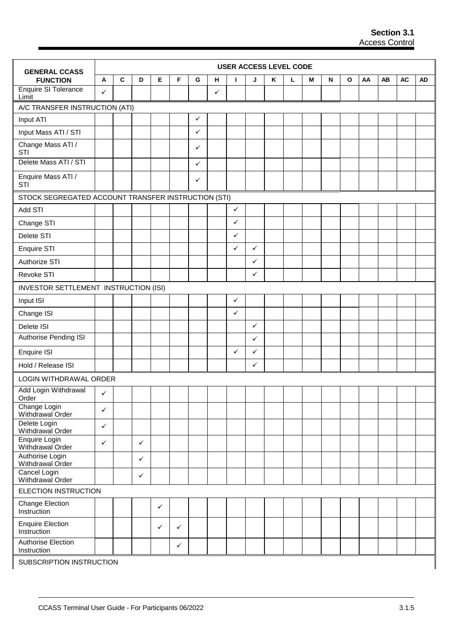| <b>GENERAL CCASS</b>                                |              |             |              |              |              |              |   |              | <b>USER ACCESS LEVEL CODE</b> |   |   |   |   |              |    |    |           |           |
|-----------------------------------------------------|--------------|-------------|--------------|--------------|--------------|--------------|---|--------------|-------------------------------|---|---|---|---|--------------|----|----|-----------|-----------|
| <b>FUNCTION</b>                                     | A            | $\mathbf c$ | D            | Е            | F            | G            | н | Т            | J                             | Κ | L | М | N | $\mathbf{o}$ | AA | AB | <b>AC</b> | <b>AD</b> |
| <b>Enquire SI Tolerance</b><br>Limit                | ✓            |             |              |              |              |              | ✓ |              |                               |   |   |   |   |              |    |    |           |           |
| A/C TRANSFER INSTRUCTION (ATI)                      |              |             |              |              |              |              |   |              |                               |   |   |   |   |              |    |    |           |           |
| Input ATI                                           |              |             |              |              |              | $\checkmark$ |   |              |                               |   |   |   |   |              |    |    |           |           |
| Input Mass ATI / STI                                |              |             |              |              |              | $\checkmark$ |   |              |                               |   |   |   |   |              |    |    |           |           |
| Change Mass ATI /<br>STI                            |              |             |              |              |              | ✓            |   |              |                               |   |   |   |   |              |    |    |           |           |
| Delete Mass ATI / STI                               |              |             |              |              |              | $\checkmark$ |   |              |                               |   |   |   |   |              |    |    |           |           |
| Enquire Mass ATI /<br>STI                           |              |             |              |              |              | ✓            |   |              |                               |   |   |   |   |              |    |    |           |           |
| STOCK SEGREGATED ACCOUNT TRANSFER INSTRUCTION (STI) |              |             |              |              |              |              |   |              |                               |   |   |   |   |              |    |    |           |           |
| Add STI                                             |              |             |              |              |              |              |   | $\checkmark$ |                               |   |   |   |   |              |    |    |           |           |
| Change STI                                          |              |             |              |              |              |              |   | $\checkmark$ |                               |   |   |   |   |              |    |    |           |           |
| Delete STI                                          |              |             |              |              |              |              |   | $\checkmark$ |                               |   |   |   |   |              |    |    |           |           |
| Enquire STI                                         |              |             |              |              |              |              |   | ✓            | ✓                             |   |   |   |   |              |    |    |           |           |
| Authorize STI                                       |              |             |              |              |              |              |   |              | ✓                             |   |   |   |   |              |    |    |           |           |
| Revoke STI                                          |              |             |              |              |              |              |   |              | $\checkmark$                  |   |   |   |   |              |    |    |           |           |
| INVESTOR SETTLEMENT INSTRUCTION (ISI)               |              |             |              |              |              |              |   |              |                               |   |   |   |   |              |    |    |           |           |
| Input ISI                                           |              |             |              |              |              |              |   | $\checkmark$ |                               |   |   |   |   |              |    |    |           |           |
| Change ISI                                          |              |             |              |              |              |              |   | $\checkmark$ |                               |   |   |   |   |              |    |    |           |           |
| Delete ISI                                          |              |             |              |              |              |              |   |              | $\checkmark$                  |   |   |   |   |              |    |    |           |           |
| Authorise Pending ISI                               |              |             |              |              |              |              |   |              | ✓                             |   |   |   |   |              |    |    |           |           |
| Enquire ISI                                         |              |             |              |              |              |              |   | $\checkmark$ | ✓                             |   |   |   |   |              |    |    |           |           |
| Hold / Release ISI                                  |              |             |              |              |              |              |   |              | $\checkmark$                  |   |   |   |   |              |    |    |           |           |
| LOGIN WITHDRAWAL ORDER                              |              |             |              |              |              |              |   |              |                               |   |   |   |   |              |    |    |           |           |
| Add Login Withdrawal<br>Order                       | ✓            |             |              |              |              |              |   |              |                               |   |   |   |   |              |    |    |           |           |
| Change Login<br>Withdrawal Order                    | ✓            |             |              |              |              |              |   |              |                               |   |   |   |   |              |    |    |           |           |
| Delete Login<br>Withdrawal Order                    | $\checkmark$ |             |              |              |              |              |   |              |                               |   |   |   |   |              |    |    |           |           |
| Enquire Login<br>Withdrawal Order                   | $\checkmark$ |             | $\checkmark$ |              |              |              |   |              |                               |   |   |   |   |              |    |    |           |           |
| Authorise Login<br>Withdrawal Order                 |              |             | $\checkmark$ |              |              |              |   |              |                               |   |   |   |   |              |    |    |           |           |
| Cancel Login<br>Withdrawal Order                    |              |             | $\checkmark$ |              |              |              |   |              |                               |   |   |   |   |              |    |    |           |           |
| ELECTION INSTRUCTION                                |              |             |              |              |              |              |   |              |                               |   |   |   |   |              |    |    |           |           |
| <b>Change Election</b><br>Instruction               |              |             |              | $\checkmark$ |              |              |   |              |                               |   |   |   |   |              |    |    |           |           |
| <b>Enquire Election</b><br>Instruction              |              |             |              | $\checkmark$ | $\checkmark$ |              |   |              |                               |   |   |   |   |              |    |    |           |           |
| Authorise Election<br>Instruction                   |              |             |              |              | $\checkmark$ |              |   |              |                               |   |   |   |   |              |    |    |           |           |
| SUBSCRIPTION INSTRUCTION                            |              |             |              |              |              |              |   |              |                               |   |   |   |   |              |    |    |           |           |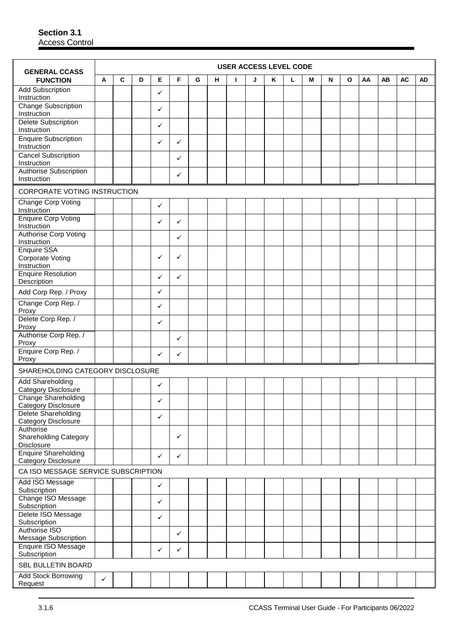| <b>GENERAL CCASS</b>                                             |              |   |   |              |   |   |   |   | <b>USER ACCESS LEVEL CODE</b> |   |   |   |           |   |    |    |           |           |
|------------------------------------------------------------------|--------------|---|---|--------------|---|---|---|---|-------------------------------|---|---|---|-----------|---|----|----|-----------|-----------|
| <b>FUNCTION</b>                                                  | A            | C | D | Е            | F | G | н | Т | J                             | Κ | г | M | ${\sf N}$ | O | AA | AB | <b>AC</b> | <b>AD</b> |
| <b>Add Subscription</b><br>Instruction                           |              |   |   | ✓            |   |   |   |   |                               |   |   |   |           |   |    |    |           |           |
| <b>Change Subscription</b><br>Instruction                        |              |   |   | ✓            |   |   |   |   |                               |   |   |   |           |   |    |    |           |           |
| <b>Delete Subscription</b>                                       |              |   |   | ✓            |   |   |   |   |                               |   |   |   |           |   |    |    |           |           |
| Instruction<br><b>Enquire Subscription</b>                       |              |   |   |              |   |   |   |   |                               |   |   |   |           |   |    |    |           |           |
| Instruction                                                      |              |   |   | ✓            | ✓ |   |   |   |                               |   |   |   |           |   |    |    |           |           |
| <b>Cancel Subscription</b><br>Instruction                        |              |   |   |              | ✓ |   |   |   |                               |   |   |   |           |   |    |    |           |           |
| Authorise Subscription<br>Instruction                            |              |   |   |              | ✓ |   |   |   |                               |   |   |   |           |   |    |    |           |           |
| CORPORATE VOTING INSTRUCTION                                     |              |   |   |              |   |   |   |   |                               |   |   |   |           |   |    |    |           |           |
| <b>Change Corp Voting</b><br>Instruction                         |              |   |   | ✓            |   |   |   |   |                               |   |   |   |           |   |    |    |           |           |
| <b>Enquire Corp Voting</b><br>Instruction                        |              |   |   | ✓            | ✓ |   |   |   |                               |   |   |   |           |   |    |    |           |           |
| <b>Authorise Corp Voting</b><br>Instruction                      |              |   |   |              | ✓ |   |   |   |                               |   |   |   |           |   |    |    |           |           |
| <b>Enquire SSA</b><br>Corporate Voting                           |              |   |   | ✓            | ✓ |   |   |   |                               |   |   |   |           |   |    |    |           |           |
| Instruction                                                      |              |   |   |              |   |   |   |   |                               |   |   |   |           |   |    |    |           |           |
| <b>Enquire Resolution</b><br>Description                         |              |   |   | $\checkmark$ | ✓ |   |   |   |                               |   |   |   |           |   |    |    |           |           |
| Add Corp Rep. / Proxy                                            |              |   |   | ✓            |   |   |   |   |                               |   |   |   |           |   |    |    |           |           |
| Change Corp Rep. /<br>Proxy                                      |              |   |   | ✓            |   |   |   |   |                               |   |   |   |           |   |    |    |           |           |
| Delete Corp Rep. /<br>Proxy                                      |              |   |   | ✓            |   |   |   |   |                               |   |   |   |           |   |    |    |           |           |
| Authorise Corp Rep. /<br>Proxy                                   |              |   |   |              | ✓ |   |   |   |                               |   |   |   |           |   |    |    |           |           |
| Enquire Corp Rep. /<br>Proxy                                     |              |   |   | ✓            | ✓ |   |   |   |                               |   |   |   |           |   |    |    |           |           |
| SHAREHOLDING CATEGORY DISCLOSURE                                 |              |   |   |              |   |   |   |   |                               |   |   |   |           |   |    |    |           |           |
| <b>Add Shareholding</b>                                          |              |   |   | $\checkmark$ |   |   |   |   |                               |   |   |   |           |   |    |    |           |           |
| Category Disclosure<br>Change Shareholding                       |              |   |   | ✓            |   |   |   |   |                               |   |   |   |           |   |    |    |           |           |
| <b>Category Disclosure</b><br>Delete Shareholding                |              |   |   |              |   |   |   |   |                               |   |   |   |           |   |    |    |           |           |
| Category Disclosure                                              |              |   |   | ✓            |   |   |   |   |                               |   |   |   |           |   |    |    |           |           |
| Authorise<br><b>Shareholding Category</b>                        |              |   |   |              | ✓ |   |   |   |                               |   |   |   |           |   |    |    |           |           |
| Disclosure<br><b>Enquire Shareholding</b><br>Category Disclosure |              |   |   | $\checkmark$ | ✓ |   |   |   |                               |   |   |   |           |   |    |    |           |           |
| CA ISO MESSAGE SERVICE SUBSCRIPTION                              |              |   |   |              |   |   |   |   |                               |   |   |   |           |   |    |    |           |           |
| Add ISO Message                                                  |              |   |   | $\checkmark$ |   |   |   |   |                               |   |   |   |           |   |    |    |           |           |
| Subscription<br>Change ISO Message                               |              |   |   | ✓            |   |   |   |   |                               |   |   |   |           |   |    |    |           |           |
| Subscription<br>Delete ISO Message                               |              |   |   |              |   |   |   |   |                               |   |   |   |           |   |    |    |           |           |
| Subscription                                                     |              |   |   | $\checkmark$ |   |   |   |   |                               |   |   |   |           |   |    |    |           |           |
| Authorise ISO<br>Message Subscription                            |              |   |   |              | ✓ |   |   |   |                               |   |   |   |           |   |    |    |           |           |
| Enquire ISO Message<br>Subscription                              |              |   |   | ✓            | ✓ |   |   |   |                               |   |   |   |           |   |    |    |           |           |
| SBL BULLETIN BOARD                                               |              |   |   |              |   |   |   |   |                               |   |   |   |           |   |    |    |           |           |
| Add Stock Borrowing<br>Request                                   | $\checkmark$ |   |   |              |   |   |   |   |                               |   |   |   |           |   |    |    |           |           |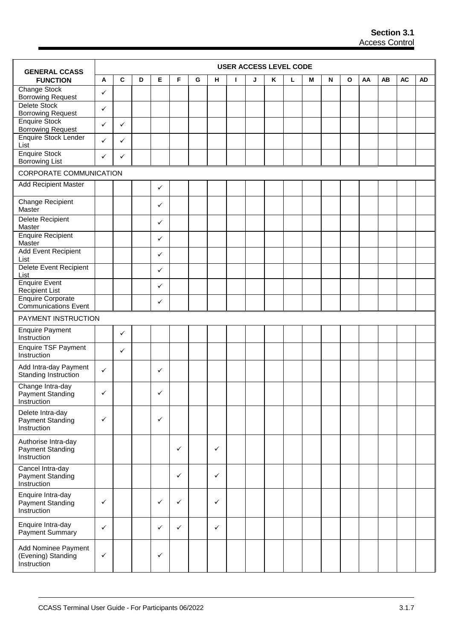| <b>GENERAL CCASS</b>                                                      |              |              |   |              |              |   |   |   | <b>USER ACCESS LEVEL CODE</b> |   |   |   |   |   |    |    |           |           |
|---------------------------------------------------------------------------|--------------|--------------|---|--------------|--------------|---|---|---|-------------------------------|---|---|---|---|---|----|----|-----------|-----------|
| <b>FUNCTION</b>                                                           | A            | $\mathbf c$  | D | Е            | F            | G | н | L | J                             | Κ | г | М | N | O | AA | AB | <b>AC</b> | <b>AD</b> |
| Change Stock<br><b>Borrowing Request</b>                                  | $\checkmark$ |              |   |              |              |   |   |   |                               |   |   |   |   |   |    |    |           |           |
| Delete Stock<br><b>Borrowing Request</b>                                  | ✓            |              |   |              |              |   |   |   |                               |   |   |   |   |   |    |    |           |           |
| <b>Enquire Stock</b>                                                      | ✓            | $\checkmark$ |   |              |              |   |   |   |                               |   |   |   |   |   |    |    |           |           |
| <b>Borrowing Request</b><br>Enquire Stock Lender<br>List                  | $\checkmark$ | $\checkmark$ |   |              |              |   |   |   |                               |   |   |   |   |   |    |    |           |           |
| <b>Enquire Stock</b><br><b>Borrowing List</b>                             | $\checkmark$ | ✓            |   |              |              |   |   |   |                               |   |   |   |   |   |    |    |           |           |
| CORPORATE COMMUNICATION                                                   |              |              |   |              |              |   |   |   |                               |   |   |   |   |   |    |    |           |           |
| <b>Add Recipient Master</b>                                               |              |              |   | ✓            |              |   |   |   |                               |   |   |   |   |   |    |    |           |           |
|                                                                           |              |              |   |              |              |   |   |   |                               |   |   |   |   |   |    |    |           |           |
| Change Recipient<br>Master                                                |              |              |   | ✓            |              |   |   |   |                               |   |   |   |   |   |    |    |           |           |
| <b>Delete Recipient</b><br>Master                                         |              |              |   | ✓            |              |   |   |   |                               |   |   |   |   |   |    |    |           |           |
| <b>Enquire Recipient</b><br>Master                                        |              |              |   | ✓            |              |   |   |   |                               |   |   |   |   |   |    |    |           |           |
| Add Event Recipient<br>List                                               |              |              |   | ✓            |              |   |   |   |                               |   |   |   |   |   |    |    |           |           |
| Delete Event Recipient<br>List                                            |              |              |   | ✓            |              |   |   |   |                               |   |   |   |   |   |    |    |           |           |
| <b>Enquire Event</b><br><b>Recipient List</b>                             |              |              |   | ✓            |              |   |   |   |                               |   |   |   |   |   |    |    |           |           |
| <b>Enquire Corporate</b><br><b>Communications Event</b>                   |              |              |   | $\checkmark$ |              |   |   |   |                               |   |   |   |   |   |    |    |           |           |
| PAYMENT INSTRUCTION                                                       |              |              |   |              |              |   |   |   |                               |   |   |   |   |   |    |    |           |           |
| <b>Enquire Payment</b><br>Instruction                                     |              | $\checkmark$ |   |              |              |   |   |   |                               |   |   |   |   |   |    |    |           |           |
| <b>Enquire TSF Payment</b><br>Instruction                                 |              | $\checkmark$ |   |              |              |   |   |   |                               |   |   |   |   |   |    |    |           |           |
| Add Intra-day Payment<br>Standing Instruction                             | $\checkmark$ |              |   | ✓            |              |   |   |   |                               |   |   |   |   |   |    |    |           |           |
| Change Intra-day<br><b>Payment Standing</b>                               | ✓            |              |   | ✓            |              |   |   |   |                               |   |   |   |   |   |    |    |           |           |
| Instruction<br>Delete Intra-day<br><b>Payment Standing</b><br>Instruction | $\checkmark$ |              |   | ✓            |              |   |   |   |                               |   |   |   |   |   |    |    |           |           |
| Authorise Intra-day<br>Payment Standing<br>Instruction                    |              |              |   |              | $\checkmark$ |   | ✓ |   |                               |   |   |   |   |   |    |    |           |           |
| Cancel Intra-day<br>Payment Standing<br>Instruction                       |              |              |   |              | $\checkmark$ |   | ✓ |   |                               |   |   |   |   |   |    |    |           |           |
| Enquire Intra-day<br>Payment Standing<br>Instruction                      | $\checkmark$ |              |   | ✓            | $\checkmark$ |   | ✓ |   |                               |   |   |   |   |   |    |    |           |           |
| Enquire Intra-day<br>Payment Summary                                      | $\checkmark$ |              |   | ✓            | $\checkmark$ |   | ✓ |   |                               |   |   |   |   |   |    |    |           |           |
| Add Nominee Payment<br>(Evening) Standing<br>Instruction                  | $\checkmark$ |              |   | ✓            |              |   |   |   |                               |   |   |   |   |   |    |    |           |           |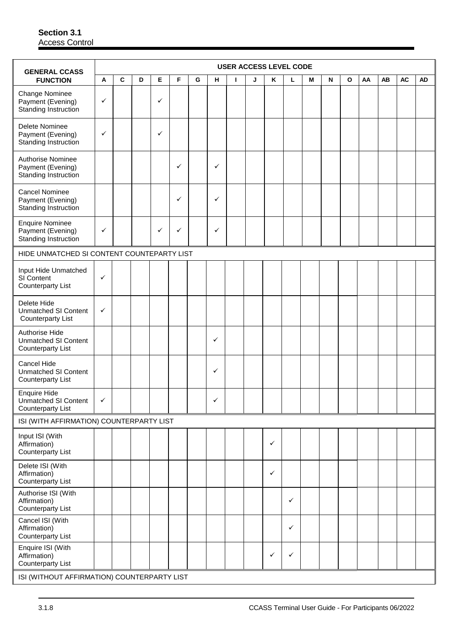| <b>GENERAL CCASS</b>                                                           |              |   |   |              |   |   |              |   | <b>USER ACCESS LEVEL CODE</b> |              |              |   |   |              |    |    |           |    |
|--------------------------------------------------------------------------------|--------------|---|---|--------------|---|---|--------------|---|-------------------------------|--------------|--------------|---|---|--------------|----|----|-----------|----|
| <b>FUNCTION</b>                                                                | A            | C | D | Е            | F | G | н.           | L | J                             | Κ            | Г            | M | N | $\mathbf{o}$ | AA | AB | <b>AC</b> | AD |
| Change Nominee<br>Payment (Evening)<br>Standing Instruction                    | $\checkmark$ |   |   | $\checkmark$ |   |   |              |   |                               |              |              |   |   |              |    |    |           |    |
| Delete Nominee<br>Payment (Evening)<br>Standing Instruction                    | $\checkmark$ |   |   | $\checkmark$ |   |   |              |   |                               |              |              |   |   |              |    |    |           |    |
| Authorise Nominee<br>Payment (Evening)<br>Standing Instruction                 |              |   |   |              | ✓ |   | ✓            |   |                               |              |              |   |   |              |    |    |           |    |
| <b>Cancel Nominee</b><br>Payment (Evening)<br>Standing Instruction             |              |   |   |              | ✓ |   | ✓            |   |                               |              |              |   |   |              |    |    |           |    |
| <b>Enquire Nominee</b><br>Payment (Evening)<br>Standing Instruction            | $\checkmark$ |   |   | $\checkmark$ | ✓ |   | ✓            |   |                               |              |              |   |   |              |    |    |           |    |
| HIDE UNMATCHED SI CONTENT COUNTEPARTY LIST                                     |              |   |   |              |   |   |              |   |                               |              |              |   |   |              |    |    |           |    |
| Input Hide Unmatched<br>SI Content<br><b>Counterparty List</b>                 | ✓            |   |   |              |   |   |              |   |                               |              |              |   |   |              |    |    |           |    |
| Delete Hide<br><b>Unmatched SI Content</b><br><b>Counterparty List</b>         | ✓            |   |   |              |   |   |              |   |                               |              |              |   |   |              |    |    |           |    |
| Authorise Hide<br><b>Unmatched SI Content</b><br><b>Counterparty List</b>      |              |   |   |              |   |   | ✓            |   |                               |              |              |   |   |              |    |    |           |    |
| Cancel Hide<br><b>Unmatched SI Content</b><br><b>Counterparty List</b>         |              |   |   |              |   |   | ✓            |   |                               |              |              |   |   |              |    |    |           |    |
| <b>Enquire Hide</b><br><b>Unmatched SI Content</b><br><b>Counterparty List</b> | $\checkmark$ |   |   |              |   |   | $\checkmark$ |   |                               |              |              |   |   |              |    |    |           |    |
| ISI (WITH AFFIRMATION) COUNTERPARTY LIST                                       |              |   |   |              |   |   |              |   |                               |              |              |   |   |              |    |    |           |    |
| Input ISI (With<br>Affirmation)<br><b>Counterparty List</b>                    |              |   |   |              |   |   |              |   |                               | $\checkmark$ |              |   |   |              |    |    |           |    |
| Delete ISI (With<br>Affirmation)<br><b>Counterparty List</b>                   |              |   |   |              |   |   |              |   |                               | $\checkmark$ |              |   |   |              |    |    |           |    |
| Authorise ISI (With<br>Affirmation)<br><b>Counterparty List</b>                |              |   |   |              |   |   |              |   |                               |              | $\checkmark$ |   |   |              |    |    |           |    |
| Cancel ISI (With<br>Affirmation)<br><b>Counterparty List</b>                   |              |   |   |              |   |   |              |   |                               |              | $\checkmark$ |   |   |              |    |    |           |    |
| Enquire ISI (With<br>Affirmation)<br><b>Counterparty List</b>                  |              |   |   |              |   |   |              |   |                               | ✓            | $\checkmark$ |   |   |              |    |    |           |    |
| ISI (WITHOUT AFFIRMATION) COUNTERPARTY LIST                                    |              |   |   |              |   |   |              |   |                               |              |              |   |   |              |    |    |           |    |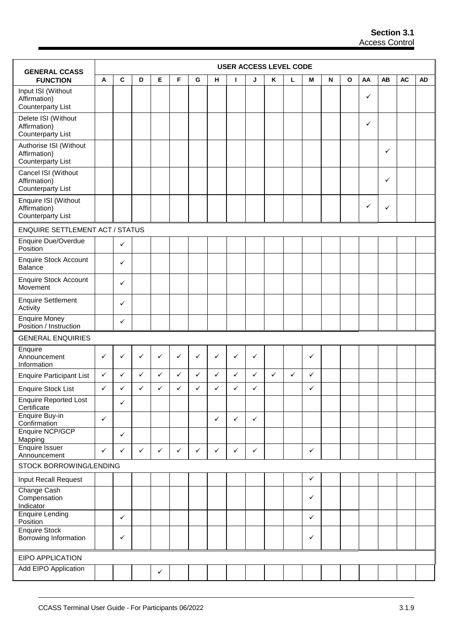| <b>GENERAL CCASS</b>                                               |              |              |              |              |              |              |              | <b>USER ACCESS LEVEL CODE</b> |              |              |   |              |   |              |              |           |           |           |
|--------------------------------------------------------------------|--------------|--------------|--------------|--------------|--------------|--------------|--------------|-------------------------------|--------------|--------------|---|--------------|---|--------------|--------------|-----------|-----------|-----------|
| <b>FUNCTION</b>                                                    | Α            | C            | D            | Е            | F            | G            | н            | т                             | J            | Κ            | г | M            | N | $\mathbf{o}$ | AA           | <b>AB</b> | <b>AC</b> | <b>AD</b> |
| Input ISI (Without<br>Affirmation)<br><b>Counterparty List</b>     |              |              |              |              |              |              |              |                               |              |              |   |              |   |              | $\checkmark$ |           |           |           |
| Delete ISI (Without<br>Affirmation)<br><b>Counterparty List</b>    |              |              |              |              |              |              |              |                               |              |              |   |              |   |              | ✓            |           |           |           |
| Authorise ISI (Without<br>Affirmation)<br><b>Counterparty List</b> |              |              |              |              |              |              |              |                               |              |              |   |              |   |              |              | ✓         |           |           |
| Cancel ISI (Without<br>Affirmation)<br><b>Counterparty List</b>    |              |              |              |              |              |              |              |                               |              |              |   |              |   |              |              | ✓         |           |           |
| Enquire ISI (Without<br>Affirmation)<br><b>Counterparty List</b>   |              |              |              |              |              |              |              |                               |              |              |   |              |   |              | ✓            | ✓         |           |           |
| <b>ENQUIRE SETTLEMENT ACT / STATUS</b>                             |              |              |              |              |              |              |              |                               |              |              |   |              |   |              |              |           |           |           |
| Enquire Due/Overdue<br>Position                                    |              | $\checkmark$ |              |              |              |              |              |                               |              |              |   |              |   |              |              |           |           |           |
| <b>Enquire Stock Account</b><br>Balance                            |              | $\checkmark$ |              |              |              |              |              |                               |              |              |   |              |   |              |              |           |           |           |
| <b>Enquire Stock Account</b><br>Movement                           |              | ✓            |              |              |              |              |              |                               |              |              |   |              |   |              |              |           |           |           |
| <b>Enquire Settlement</b><br>Activity                              |              | $\checkmark$ |              |              |              |              |              |                               |              |              |   |              |   |              |              |           |           |           |
| Enquire Money<br>Position / Instruction                            |              | $\checkmark$ |              |              |              |              |              |                               |              |              |   |              |   |              |              |           |           |           |
| <b>GENERAL ENQUIRIES</b>                                           |              |              |              |              |              |              |              |                               |              |              |   |              |   |              |              |           |           |           |
| Enquire<br>Announcement<br>Information                             | ✓            | ✓            | $\checkmark$ | ✓            | ✓            | ✓            | ✓            | $\checkmark$                  | ✓            |              |   | $\checkmark$ |   |              |              |           |           |           |
| <b>Enquire Participant List</b>                                    | $\checkmark$ | $\checkmark$ | $\checkmark$ | ✓            | ✓            | ✓            | ✓            | $\checkmark$                  | $\checkmark$ | $\checkmark$ | ✓ | ✓            |   |              |              |           |           |           |
| <b>Enquire Stock List</b>                                          | $\checkmark$ | ✓            | ✓            | ✓            | ✓            | ✓            | ✓            | ✓                             | ✓            |              |   | ✓            |   |              |              |           |           |           |
| <b>Enquire Reported Lost</b><br>Certificate                        |              | $\checkmark$ |              |              |              |              |              |                               |              |              |   |              |   |              |              |           |           |           |
| Enquire Buy-in<br>Confirmation                                     | $\checkmark$ |              |              |              |              |              | $\checkmark$ | $\checkmark$                  | $\checkmark$ |              |   |              |   |              |              |           |           |           |
| Enquire NCP/GCP<br>Mapping                                         |              | $\checkmark$ |              |              |              |              |              |                               |              |              |   |              |   |              |              |           |           |           |
| <b>Enquire Issuer</b><br>Announcement                              | $\checkmark$ | $\checkmark$ | $\checkmark$ | $\checkmark$ | $\checkmark$ | $\checkmark$ | ✓            | $\checkmark$                  | $\checkmark$ |              |   | $\checkmark$ |   |              |              |           |           |           |
| STOCK BORROWING/LENDING                                            |              |              |              |              |              |              |              |                               |              |              |   |              |   |              |              |           |           |           |
| Input Recall Request                                               |              |              |              |              |              |              |              |                               |              |              |   | ✓            |   |              |              |           |           |           |
| Change Cash<br>Compensation<br>Indicator                           |              |              |              |              |              |              |              |                               |              |              |   | ✓            |   |              |              |           |           |           |
| <b>Enquire Lending</b><br>Position                                 |              | $\checkmark$ |              |              |              |              |              |                               |              |              |   | $\checkmark$ |   |              |              |           |           |           |
| <b>Enquire Stock</b><br>Borrowing Information                      |              | $\checkmark$ |              |              |              |              |              |                               |              |              |   | $\checkmark$ |   |              |              |           |           |           |
| EIPO APPLICATION                                                   |              |              |              |              |              |              |              |                               |              |              |   |              |   |              |              |           |           |           |
| Add EIPO Application                                               |              |              |              | $\checkmark$ |              |              |              |                               |              |              |   |              |   |              |              |           |           |           |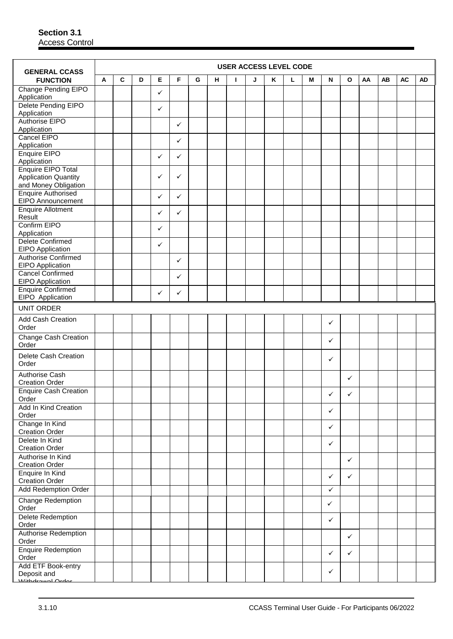| C<br>D<br>E<br>F<br>Κ<br>AA<br><b>AB</b><br><b>AC</b><br><b>FUNCTION</b><br>Α<br>G<br>н<br>T<br>J<br>г<br>M<br>N<br>O<br><b>AD</b><br>Change Pending EIPO<br>✓<br>Application<br>Delete Pending EIPO<br>✓<br>Application<br>Authorise EIPO<br>✓<br>Application<br>Cancel EIPO<br>✓<br>Application<br>Enquire EIPO<br>✓<br>✓<br>Application<br><b>Enquire EIPO Total</b><br>✓<br><b>Application Quantity</b><br>$\checkmark$<br>and Money Obligation<br><b>Enquire Authorised</b><br>✓<br>✓<br>EIPO Announcement<br><b>Enquire Allotment</b><br>✓<br>✓<br>Result<br>Confirm EIPO<br>$\checkmark$<br>Application<br><b>Delete Confirmed</b><br>✓<br>EIPO Application<br><b>Authorise Confirmed</b><br>✓<br>EIPO Application<br><b>Cancel Confirmed</b><br>$\checkmark$<br>EIPO Application<br><b>Enquire Confirmed</b><br>✓<br>✓<br>EIPO Application<br><b>UNIT ORDER</b><br>Add Cash Creation<br>✓<br>Order<br><b>Change Cash Creation</b><br>✓<br>Order<br>Delete Cash Creation<br>✓<br>Order<br><b>Authorise Cash</b><br>$\checkmark$<br><b>Creation Order</b><br><b>Enquire Cash Creation</b><br>✓<br>✓<br>Order<br>Add In Kind Creation<br>$\checkmark$<br>Order<br>Change In Kind<br>$\checkmark$<br><b>Creation Order</b><br>Delete In Kind<br>✓<br><b>Creation Order</b><br>Authorise In Kind<br>$\checkmark$<br><b>Creation Order</b><br>Enquire In Kind<br>✓<br>$\checkmark$ | <b>GENERAL CCASS</b>  |  |  |  |  | <b>USER ACCESS LEVEL CODE</b> |  |  |  |  |  |
|--------------------------------------------------------------------------------------------------------------------------------------------------------------------------------------------------------------------------------------------------------------------------------------------------------------------------------------------------------------------------------------------------------------------------------------------------------------------------------------------------------------------------------------------------------------------------------------------------------------------------------------------------------------------------------------------------------------------------------------------------------------------------------------------------------------------------------------------------------------------------------------------------------------------------------------------------------------------------------------------------------------------------------------------------------------------------------------------------------------------------------------------------------------------------------------------------------------------------------------------------------------------------------------------------------------------------------------------------------------------------------------|-----------------------|--|--|--|--|-------------------------------|--|--|--|--|--|
|                                                                                                                                                                                                                                                                                                                                                                                                                                                                                                                                                                                                                                                                                                                                                                                                                                                                                                                                                                                                                                                                                                                                                                                                                                                                                                                                                                                      |                       |  |  |  |  |                               |  |  |  |  |  |
|                                                                                                                                                                                                                                                                                                                                                                                                                                                                                                                                                                                                                                                                                                                                                                                                                                                                                                                                                                                                                                                                                                                                                                                                                                                                                                                                                                                      |                       |  |  |  |  |                               |  |  |  |  |  |
|                                                                                                                                                                                                                                                                                                                                                                                                                                                                                                                                                                                                                                                                                                                                                                                                                                                                                                                                                                                                                                                                                                                                                                                                                                                                                                                                                                                      |                       |  |  |  |  |                               |  |  |  |  |  |
|                                                                                                                                                                                                                                                                                                                                                                                                                                                                                                                                                                                                                                                                                                                                                                                                                                                                                                                                                                                                                                                                                                                                                                                                                                                                                                                                                                                      |                       |  |  |  |  |                               |  |  |  |  |  |
|                                                                                                                                                                                                                                                                                                                                                                                                                                                                                                                                                                                                                                                                                                                                                                                                                                                                                                                                                                                                                                                                                                                                                                                                                                                                                                                                                                                      |                       |  |  |  |  |                               |  |  |  |  |  |
|                                                                                                                                                                                                                                                                                                                                                                                                                                                                                                                                                                                                                                                                                                                                                                                                                                                                                                                                                                                                                                                                                                                                                                                                                                                                                                                                                                                      |                       |  |  |  |  |                               |  |  |  |  |  |
|                                                                                                                                                                                                                                                                                                                                                                                                                                                                                                                                                                                                                                                                                                                                                                                                                                                                                                                                                                                                                                                                                                                                                                                                                                                                                                                                                                                      |                       |  |  |  |  |                               |  |  |  |  |  |
|                                                                                                                                                                                                                                                                                                                                                                                                                                                                                                                                                                                                                                                                                                                                                                                                                                                                                                                                                                                                                                                                                                                                                                                                                                                                                                                                                                                      |                       |  |  |  |  |                               |  |  |  |  |  |
|                                                                                                                                                                                                                                                                                                                                                                                                                                                                                                                                                                                                                                                                                                                                                                                                                                                                                                                                                                                                                                                                                                                                                                                                                                                                                                                                                                                      |                       |  |  |  |  |                               |  |  |  |  |  |
|                                                                                                                                                                                                                                                                                                                                                                                                                                                                                                                                                                                                                                                                                                                                                                                                                                                                                                                                                                                                                                                                                                                                                                                                                                                                                                                                                                                      |                       |  |  |  |  |                               |  |  |  |  |  |
|                                                                                                                                                                                                                                                                                                                                                                                                                                                                                                                                                                                                                                                                                                                                                                                                                                                                                                                                                                                                                                                                                                                                                                                                                                                                                                                                                                                      |                       |  |  |  |  |                               |  |  |  |  |  |
|                                                                                                                                                                                                                                                                                                                                                                                                                                                                                                                                                                                                                                                                                                                                                                                                                                                                                                                                                                                                                                                                                                                                                                                                                                                                                                                                                                                      |                       |  |  |  |  |                               |  |  |  |  |  |
|                                                                                                                                                                                                                                                                                                                                                                                                                                                                                                                                                                                                                                                                                                                                                                                                                                                                                                                                                                                                                                                                                                                                                                                                                                                                                                                                                                                      |                       |  |  |  |  |                               |  |  |  |  |  |
|                                                                                                                                                                                                                                                                                                                                                                                                                                                                                                                                                                                                                                                                                                                                                                                                                                                                                                                                                                                                                                                                                                                                                                                                                                                                                                                                                                                      |                       |  |  |  |  |                               |  |  |  |  |  |
|                                                                                                                                                                                                                                                                                                                                                                                                                                                                                                                                                                                                                                                                                                                                                                                                                                                                                                                                                                                                                                                                                                                                                                                                                                                                                                                                                                                      |                       |  |  |  |  |                               |  |  |  |  |  |
|                                                                                                                                                                                                                                                                                                                                                                                                                                                                                                                                                                                                                                                                                                                                                                                                                                                                                                                                                                                                                                                                                                                                                                                                                                                                                                                                                                                      |                       |  |  |  |  |                               |  |  |  |  |  |
|                                                                                                                                                                                                                                                                                                                                                                                                                                                                                                                                                                                                                                                                                                                                                                                                                                                                                                                                                                                                                                                                                                                                                                                                                                                                                                                                                                                      |                       |  |  |  |  |                               |  |  |  |  |  |
|                                                                                                                                                                                                                                                                                                                                                                                                                                                                                                                                                                                                                                                                                                                                                                                                                                                                                                                                                                                                                                                                                                                                                                                                                                                                                                                                                                                      |                       |  |  |  |  |                               |  |  |  |  |  |
|                                                                                                                                                                                                                                                                                                                                                                                                                                                                                                                                                                                                                                                                                                                                                                                                                                                                                                                                                                                                                                                                                                                                                                                                                                                                                                                                                                                      |                       |  |  |  |  |                               |  |  |  |  |  |
|                                                                                                                                                                                                                                                                                                                                                                                                                                                                                                                                                                                                                                                                                                                                                                                                                                                                                                                                                                                                                                                                                                                                                                                                                                                                                                                                                                                      |                       |  |  |  |  |                               |  |  |  |  |  |
|                                                                                                                                                                                                                                                                                                                                                                                                                                                                                                                                                                                                                                                                                                                                                                                                                                                                                                                                                                                                                                                                                                                                                                                                                                                                                                                                                                                      |                       |  |  |  |  |                               |  |  |  |  |  |
|                                                                                                                                                                                                                                                                                                                                                                                                                                                                                                                                                                                                                                                                                                                                                                                                                                                                                                                                                                                                                                                                                                                                                                                                                                                                                                                                                                                      |                       |  |  |  |  |                               |  |  |  |  |  |
|                                                                                                                                                                                                                                                                                                                                                                                                                                                                                                                                                                                                                                                                                                                                                                                                                                                                                                                                                                                                                                                                                                                                                                                                                                                                                                                                                                                      |                       |  |  |  |  |                               |  |  |  |  |  |
|                                                                                                                                                                                                                                                                                                                                                                                                                                                                                                                                                                                                                                                                                                                                                                                                                                                                                                                                                                                                                                                                                                                                                                                                                                                                                                                                                                                      |                       |  |  |  |  |                               |  |  |  |  |  |
|                                                                                                                                                                                                                                                                                                                                                                                                                                                                                                                                                                                                                                                                                                                                                                                                                                                                                                                                                                                                                                                                                                                                                                                                                                                                                                                                                                                      |                       |  |  |  |  |                               |  |  |  |  |  |
|                                                                                                                                                                                                                                                                                                                                                                                                                                                                                                                                                                                                                                                                                                                                                                                                                                                                                                                                                                                                                                                                                                                                                                                                                                                                                                                                                                                      |                       |  |  |  |  |                               |  |  |  |  |  |
|                                                                                                                                                                                                                                                                                                                                                                                                                                                                                                                                                                                                                                                                                                                                                                                                                                                                                                                                                                                                                                                                                                                                                                                                                                                                                                                                                                                      |                       |  |  |  |  |                               |  |  |  |  |  |
|                                                                                                                                                                                                                                                                                                                                                                                                                                                                                                                                                                                                                                                                                                                                                                                                                                                                                                                                                                                                                                                                                                                                                                                                                                                                                                                                                                                      | <b>Creation Order</b> |  |  |  |  |                               |  |  |  |  |  |
| <b>Add Redemption Order</b><br>$\checkmark$                                                                                                                                                                                                                                                                                                                                                                                                                                                                                                                                                                                                                                                                                                                                                                                                                                                                                                                                                                                                                                                                                                                                                                                                                                                                                                                                          |                       |  |  |  |  |                               |  |  |  |  |  |
| Change Redemption<br>$\checkmark$<br>Order                                                                                                                                                                                                                                                                                                                                                                                                                                                                                                                                                                                                                                                                                                                                                                                                                                                                                                                                                                                                                                                                                                                                                                                                                                                                                                                                           |                       |  |  |  |  |                               |  |  |  |  |  |
| Delete Redemption<br>$\checkmark$<br>Order                                                                                                                                                                                                                                                                                                                                                                                                                                                                                                                                                                                                                                                                                                                                                                                                                                                                                                                                                                                                                                                                                                                                                                                                                                                                                                                                           |                       |  |  |  |  |                               |  |  |  |  |  |
| Authorise Redemption<br>$\checkmark$<br>Order                                                                                                                                                                                                                                                                                                                                                                                                                                                                                                                                                                                                                                                                                                                                                                                                                                                                                                                                                                                                                                                                                                                                                                                                                                                                                                                                        |                       |  |  |  |  |                               |  |  |  |  |  |
| <b>Enquire Redemption</b><br>$\checkmark$<br>$\checkmark$<br>Order                                                                                                                                                                                                                                                                                                                                                                                                                                                                                                                                                                                                                                                                                                                                                                                                                                                                                                                                                                                                                                                                                                                                                                                                                                                                                                                   |                       |  |  |  |  |                               |  |  |  |  |  |
| Add ETF Book-entry<br>✓<br>Deposit and<br>Withdrawal Ordor                                                                                                                                                                                                                                                                                                                                                                                                                                                                                                                                                                                                                                                                                                                                                                                                                                                                                                                                                                                                                                                                                                                                                                                                                                                                                                                           |                       |  |  |  |  |                               |  |  |  |  |  |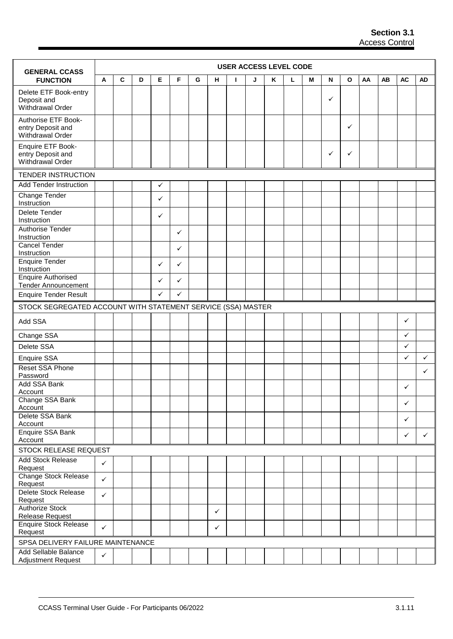| <b>GENERAL CCASS</b>                                         |              |             |   |              |   |   |              |    | <b>USER ACCESS LEVEL CODE</b> |   |   |   |   |              |    |    |              |              |
|--------------------------------------------------------------|--------------|-------------|---|--------------|---|---|--------------|----|-------------------------------|---|---|---|---|--------------|----|----|--------------|--------------|
| <b>FUNCTION</b>                                              | A            | $\mathbf c$ | D | Е            | F | G | н            | L. | J                             | Κ | L | M | N | $\mathbf{o}$ | AA | AB | <b>AC</b>    | <b>AD</b>    |
| Delete ETF Book-entry<br>Deposit and<br>Withdrawal Order     |              |             |   |              |   |   |              |    |                               |   |   |   | ✓ |              |    |    |              |              |
| Authorise ETF Book-<br>entry Deposit and<br>Withdrawal Order |              |             |   |              |   |   |              |    |                               |   |   |   |   | ✓            |    |    |              |              |
| Enquire ETF Book-<br>entry Deposit and<br>Withdrawal Order   |              |             |   |              |   |   |              |    |                               |   |   |   | ✓ | ✓            |    |    |              |              |
| <b>TENDER INSTRUCTION</b>                                    |              |             |   |              |   |   |              |    |                               |   |   |   |   |              |    |    |              |              |
| <b>Add Tender Instruction</b>                                |              |             |   | $\checkmark$ |   |   |              |    |                               |   |   |   |   |              |    |    |              |              |
| Change Tender<br>Instruction                                 |              |             |   | ✓            |   |   |              |    |                               |   |   |   |   |              |    |    |              |              |
| Delete Tender<br>Instruction                                 |              |             |   | ✓            |   |   |              |    |                               |   |   |   |   |              |    |    |              |              |
| <b>Authorise Tender</b><br>Instruction                       |              |             |   |              | ✓ |   |              |    |                               |   |   |   |   |              |    |    |              |              |
| <b>Cancel Tender</b><br>Instruction                          |              |             |   |              | ✓ |   |              |    |                               |   |   |   |   |              |    |    |              |              |
| <b>Enquire Tender</b><br>Instruction                         |              |             |   | $\checkmark$ | ✓ |   |              |    |                               |   |   |   |   |              |    |    |              |              |
| <b>Enquire Authorised</b><br><b>Tender Announcement</b>      |              |             |   | ✓            | ✓ |   |              |    |                               |   |   |   |   |              |    |    |              |              |
| <b>Enquire Tender Result</b>                                 |              |             |   | $\checkmark$ | ✓ |   |              |    |                               |   |   |   |   |              |    |    |              |              |
| STOCK SEGREGATED ACCOUNT WITH STATEMENT SERVICE (SSA) MASTER |              |             |   |              |   |   |              |    |                               |   |   |   |   |              |    |    |              |              |
| Add SSA                                                      |              |             |   |              |   |   |              |    |                               |   |   |   |   |              |    |    | ✓            |              |
| Change SSA                                                   |              |             |   |              |   |   |              |    |                               |   |   |   |   |              |    |    | ✓            |              |
| Delete SSA                                                   |              |             |   |              |   |   |              |    |                               |   |   |   |   |              |    |    | ✓            |              |
| Enquire SSA                                                  |              |             |   |              |   |   |              |    |                               |   |   |   |   |              |    |    | $\checkmark$ | $\checkmark$ |
| <b>Reset SSA Phone</b><br>Password                           |              |             |   |              |   |   |              |    |                               |   |   |   |   |              |    |    |              | $\checkmark$ |
| Add SSA Bank<br>Account                                      |              |             |   |              |   |   |              |    |                               |   |   |   |   |              |    |    | ✓            |              |
| Change SSA Bank<br>Account                                   |              |             |   |              |   |   |              |    |                               |   |   |   |   |              |    |    | ✓            |              |
| Delete SSA Bank<br>Account                                   |              |             |   |              |   |   |              |    |                               |   |   |   |   |              |    |    | ✓            |              |
| Enquire SSA Bank<br>Account                                  |              |             |   |              |   |   |              |    |                               |   |   |   |   |              |    |    | $\checkmark$ | $\checkmark$ |
| STOCK RELEASE REQUEST                                        |              |             |   |              |   |   |              |    |                               |   |   |   |   |              |    |    |              |              |
| <b>Add Stock Release</b><br>Request                          | $\checkmark$ |             |   |              |   |   |              |    |                               |   |   |   |   |              |    |    |              |              |
| <b>Change Stock Release</b><br>Request                       | $\checkmark$ |             |   |              |   |   |              |    |                               |   |   |   |   |              |    |    |              |              |
| Delete Stock Release<br>Request                              | $\checkmark$ |             |   |              |   |   |              |    |                               |   |   |   |   |              |    |    |              |              |
| <b>Authorize Stock</b><br>Release Request                    |              |             |   |              |   |   | $\checkmark$ |    |                               |   |   |   |   |              |    |    |              |              |
| <b>Enquire Stock Release</b><br>Request                      | $\checkmark$ |             |   |              |   |   | $\checkmark$ |    |                               |   |   |   |   |              |    |    |              |              |
| SPSA DELIVERY FAILURE MAINTENANCE                            |              |             |   |              |   |   |              |    |                               |   |   |   |   |              |    |    |              |              |
| Add Sellable Balance                                         | $\checkmark$ |             |   |              |   |   |              |    |                               |   |   |   |   |              |    |    |              |              |
| <b>Adjustment Request</b>                                    |              |             |   |              |   |   |              |    |                               |   |   |   |   |              |    |    |              |              |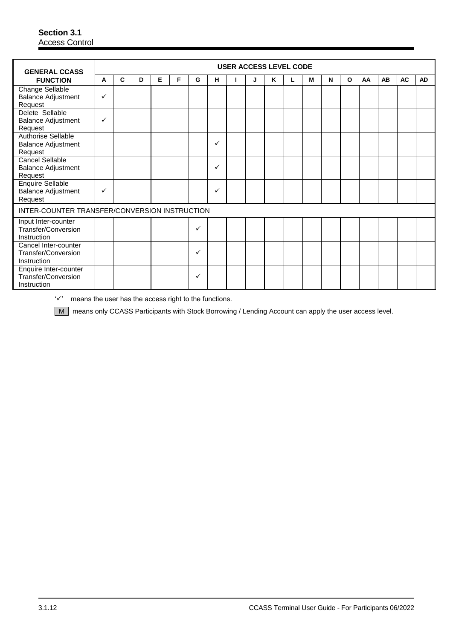| <b>GENERAL CCASS</b>                                            |              |              |   |   |   |   |   | <b>USER ACCESS LEVEL CODE</b> |   |   |   |   |              |    |    |           |           |
|-----------------------------------------------------------------|--------------|--------------|---|---|---|---|---|-------------------------------|---|---|---|---|--------------|----|----|-----------|-----------|
| <b>FUNCTION</b>                                                 | A            | $\mathbf{C}$ | D | E | F | G | н |                               | J | K | М | N | $\mathbf{o}$ | AA | AB | <b>AC</b> | <b>AD</b> |
| Change Sellable<br><b>Balance Adjustment</b><br>Request         | $\checkmark$ |              |   |   |   |   |   |                               |   |   |   |   |              |    |    |           |           |
| Delete Sellable<br><b>Balance Adjustment</b><br>Request         | ✓            |              |   |   |   |   |   |                               |   |   |   |   |              |    |    |           |           |
| Authorise Sellable<br><b>Balance Adjustment</b><br>Request      |              |              |   |   |   |   | ✓ |                               |   |   |   |   |              |    |    |           |           |
| <b>Cancel Sellable</b><br><b>Balance Adjustment</b><br>Request  |              |              |   |   |   |   | ✓ |                               |   |   |   |   |              |    |    |           |           |
| <b>Enquire Sellable</b><br><b>Balance Adjustment</b><br>Request | ✓            |              |   |   |   |   | ✓ |                               |   |   |   |   |              |    |    |           |           |
| INTER-COUNTER TRANSFER/CONVERSION INSTRUCTION                   |              |              |   |   |   |   |   |                               |   |   |   |   |              |    |    |           |           |
| Input Inter-counter<br>Transfer/Conversion<br>Instruction       |              |              |   |   |   | ✓ |   |                               |   |   |   |   |              |    |    |           |           |
| Cancel Inter-counter<br>Transfer/Conversion<br>Instruction      |              |              |   |   |   | ✓ |   |                               |   |   |   |   |              |    |    |           |           |
| Enquire Inter-counter<br>Transfer/Conversion<br>Instruction     |              |              |   |   |   | ✓ |   |                               |   |   |   |   |              |    |    |           |           |

 $'\checkmark$  means the user has the access right to the functions.

M means only CCASS Participants with Stock Borrowing / Lending Account can apply the user access level.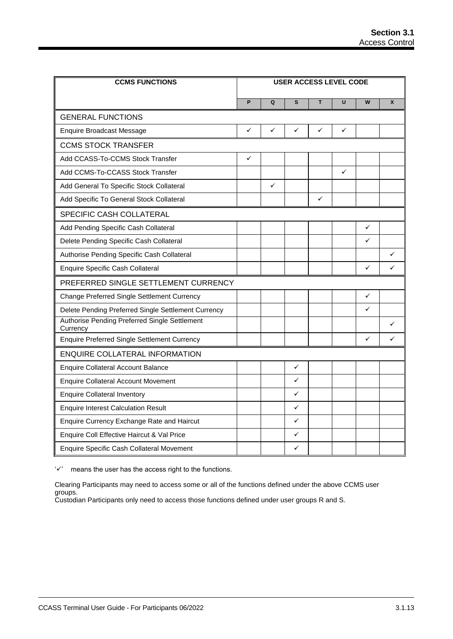| <b>CCMS FUNCTIONS</b>                                     |              |              | <b>USER ACCESS LEVEL CODE</b> |   |   |              |              |
|-----------------------------------------------------------|--------------|--------------|-------------------------------|---|---|--------------|--------------|
|                                                           | P            | Q            | S                             | т | U | W            | $\mathbf{x}$ |
| <b>GENERAL FUNCTIONS</b>                                  |              |              |                               |   |   |              |              |
| <b>Enquire Broadcast Message</b>                          | ✓            | ✓            | ✓                             | ✓ | ✓ |              |              |
| <b>CCMS STOCK TRANSFER</b>                                |              |              |                               |   |   |              |              |
| Add CCASS-To-CCMS Stock Transfer                          | $\checkmark$ |              |                               |   |   |              |              |
| Add CCMS-To-CCASS Stock Transfer                          |              |              |                               |   | ✓ |              |              |
| Add General To Specific Stock Collateral                  |              | $\checkmark$ |                               |   |   |              |              |
| Add Specific To General Stock Collateral                  |              |              |                               | ✓ |   |              |              |
| SPECIFIC CASH COLLATERAL                                  |              |              |                               |   |   |              |              |
| Add Pending Specific Cash Collateral                      |              |              |                               |   |   | ✓            |              |
| Delete Pending Specific Cash Collateral                   |              |              |                               |   |   | ✓            |              |
| Authorise Pending Specific Cash Collateral                |              |              |                               |   |   |              | ✓            |
| <b>Enquire Specific Cash Collateral</b>                   |              |              |                               |   |   | $\checkmark$ | ✓            |
| PREFERRED SINGLE SETTLEMENT CURRENCY                      |              |              |                               |   |   |              |              |
| Change Preferred Single Settlement Currency               |              |              |                               |   |   | ✓            |              |
| Delete Pending Preferred Single Settlement Currency       |              |              |                               |   |   | ✓            |              |
| Authorise Pending Preferred Single Settlement<br>Currency |              |              |                               |   |   |              |              |
| <b>Enquire Preferred Single Settlement Currency</b>       |              |              |                               |   |   | $\checkmark$ | ✓            |
| <b>ENQUIRE COLLATERAL INFORMATION</b>                     |              |              |                               |   |   |              |              |
| <b>Enquire Collateral Account Balance</b>                 |              |              | ✓                             |   |   |              |              |
| <b>Enquire Collateral Account Movement</b>                |              |              | ✓                             |   |   |              |              |
| <b>Enquire Collateral Inventory</b>                       |              |              | ✓                             |   |   |              |              |
| <b>Enquire Interest Calculation Result</b>                |              |              | ✓                             |   |   |              |              |
| Enquire Currency Exchange Rate and Haircut                |              |              | ✓                             |   |   |              |              |
| Enquire Coll Effective Haircut & Val Price                |              |              | ✓                             |   |   |              |              |
| <b>Enquire Specific Cash Collateral Movement</b>          |              |              | ✓                             |   |   |              |              |

 $'\checkmark$  means the user has the access right to the functions.

Clearing Participants may need to access some or all of the functions defined under the above CCMS user groups.

Custodian Participants only need to access those functions defined under user groups R and S.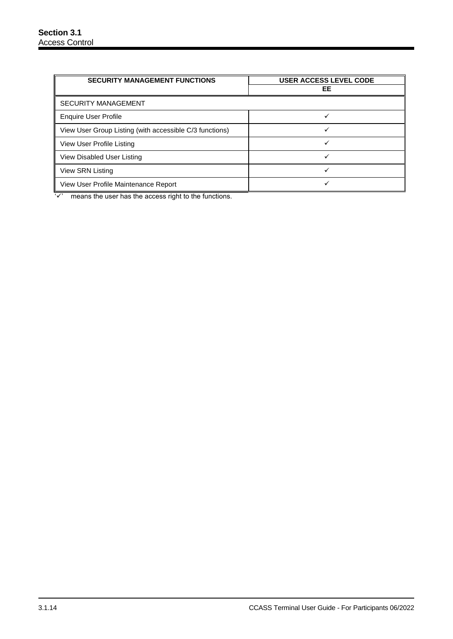| <b>SECURITY MANAGEMENT FUNCTIONS</b>                    | <b>USER ACCESS LEVEL CODE</b> |
|---------------------------------------------------------|-------------------------------|
|                                                         | EE                            |
| <b>SECURITY MANAGEMENT</b>                              |                               |
| <b>Enquire User Profile</b>                             |                               |
| View User Group Listing (with accessible C/3 functions) |                               |
| View User Profile Listing                               |                               |
| View Disabled User Listing                              |                               |
| View SRN Listing                                        |                               |
| View User Profile Maintenance Report                    |                               |

 $\sqrt{2}$  means the user has the access right to the functions.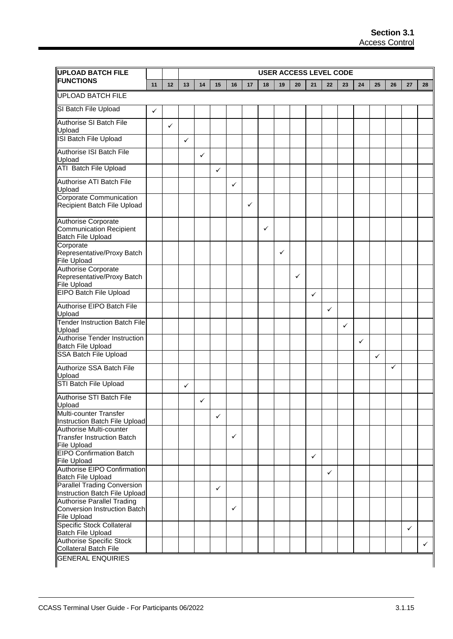| <b>UPLOAD BATCH FILE</b>                                                                                                 |    | <b>USER ACCESS LEVEL CODE</b> |              |              |    |              |    |    |    |    |              |              |              |    |              |    |              |              |
|--------------------------------------------------------------------------------------------------------------------------|----|-------------------------------|--------------|--------------|----|--------------|----|----|----|----|--------------|--------------|--------------|----|--------------|----|--------------|--------------|
| <b>FUNCTIONS</b>                                                                                                         | 11 | 12                            | 13           | 14           | 15 | 16           | 17 | 18 | 19 | 20 | 21           | 22           | 23           | 24 | 25           | 26 | 27           | 28           |
| <b>UPLOAD BATCH FILE</b>                                                                                                 |    |                               |              |              |    |              |    |    |    |    |              |              |              |    |              |    |              |              |
| SI Batch File Upload                                                                                                     | ✓  |                               |              |              |    |              |    |    |    |    |              |              |              |    |              |    |              |              |
| <b>Authorise SI Batch File</b><br>Upload                                                                                 |    | ✓                             |              |              |    |              |    |    |    |    |              |              |              |    |              |    |              |              |
| ISI Batch File Upload                                                                                                    |    |                               | $\checkmark$ |              |    |              |    |    |    |    |              |              |              |    |              |    |              |              |
| Authorise ISI Batch File<br>Upload                                                                                       |    |                               |              | $\checkmark$ |    |              |    |    |    |    |              |              |              |    |              |    |              |              |
| <b>ATI Batch File Upload</b>                                                                                             |    |                               |              |              | ✓  |              |    |    |    |    |              |              |              |    |              |    |              |              |
| Authorise ATI Batch File<br>Upload                                                                                       |    |                               |              |              |    | $\checkmark$ |    |    |    |    |              |              |              |    |              |    |              |              |
| Corporate Communication<br>Recipient Batch File Upload                                                                   |    |                               |              |              |    |              | ✓  |    |    |    |              |              |              |    |              |    |              |              |
| <b>Authorise Corporate</b><br><b>Communication Recipient</b><br><b>Batch File Upload</b>                                 |    |                               |              |              |    |              |    | ✓  |    |    |              |              |              |    |              |    |              |              |
| Corporate<br>Representative/Proxy Batch<br><b>File Upload</b>                                                            |    |                               |              |              |    |              |    |    | ✓  |    |              |              |              |    |              |    |              |              |
| Authorise Corporate<br>Representative/Proxy Batch<br><b>File Upload</b>                                                  |    |                               |              |              |    |              |    |    |    | ✓  |              |              |              |    |              |    |              |              |
| <b>EIPO Batch File Upload</b>                                                                                            |    |                               |              |              |    |              |    |    |    |    | ✓            |              |              |    |              |    |              |              |
| Authorise EIPO Batch File<br>Upload                                                                                      |    |                               |              |              |    |              |    |    |    |    |              | $\checkmark$ |              |    |              |    |              |              |
| <b>Tender Instruction Batch File</b><br>Upload                                                                           |    |                               |              |              |    |              |    |    |    |    |              |              | $\checkmark$ |    |              |    |              |              |
| Authorise Tender Instruction<br><b>Batch File Upload</b>                                                                 |    |                               |              |              |    |              |    |    |    |    |              |              |              | ✓  |              |    |              |              |
| <b>SSA Batch File Upload</b>                                                                                             |    |                               |              |              |    |              |    |    |    |    |              |              |              |    | $\checkmark$ |    |              |              |
| Authorize SSA Batch File<br>Upload                                                                                       |    |                               |              |              |    |              |    |    |    |    |              |              |              |    |              | ✓  |              |              |
| STI Batch File Upload                                                                                                    |    |                               | ✓            |              |    |              |    |    |    |    |              |              |              |    |              |    |              |              |
| Authorise STI Batch File<br>Upload                                                                                       |    |                               |              | ✓            |    |              |    |    |    |    |              |              |              |    |              |    |              |              |
| Multi-counter Transfer<br>Instruction Batch File Upload                                                                  |    |                               |              |              | ✓  |              |    |    |    |    |              |              |              |    |              |    |              |              |
| Authorise Multi-counter<br>Transfer Instruction Batch<br>File Upload                                                     |    |                               |              |              |    | ✓            |    |    |    |    |              |              |              |    |              |    |              |              |
| <b>EIPO Confirmation Batch</b><br><b>File Upload</b>                                                                     |    |                               |              |              |    |              |    |    |    |    | $\checkmark$ |              |              |    |              |    |              |              |
| <b>Authorise EIPO Confirmation</b><br>Batch File Upload                                                                  |    |                               |              |              |    |              |    |    |    |    |              | $\checkmark$ |              |    |              |    |              |              |
| <b>Parallel Trading Conversion</b>                                                                                       |    |                               |              |              | ✓  |              |    |    |    |    |              |              |              |    |              |    |              |              |
| Instruction Batch File Upload<br><b>Authorise Parallel Trading</b><br>Conversion Instruction Batch<br><b>File Upload</b> |    |                               |              |              |    | ✓            |    |    |    |    |              |              |              |    |              |    |              |              |
| Specific Stock Collateral                                                                                                |    |                               |              |              |    |              |    |    |    |    |              |              |              |    |              |    | $\checkmark$ |              |
| <b>Batch File Upload</b><br><b>Authorise Specific Stock</b><br><b>Collateral Batch File</b>                              |    |                               |              |              |    |              |    |    |    |    |              |              |              |    |              |    |              | $\checkmark$ |
| <b>GENERAL ENQUIRIES</b>                                                                                                 |    |                               |              |              |    |              |    |    |    |    |              |              |              |    |              |    |              |              |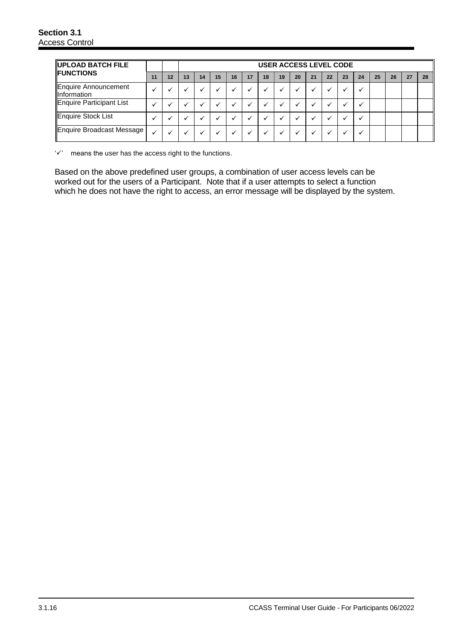| UPLOAD BATCH FILE<br><b>IFUNCTIONS</b>       |    |    | <b>USER ACCESS LEVEL CODE</b> |    |    |    |    |    |    |    |    |    |    |    |    |    |    |    |
|----------------------------------------------|----|----|-------------------------------|----|----|----|----|----|----|----|----|----|----|----|----|----|----|----|
|                                              | 11 | 12 | 13                            | 14 | 15 | 16 | 17 | 18 | 19 | 20 | 21 | 22 | 23 | 24 | 25 | 26 | 27 | 28 |
| Enquire Announcement<br><b>Illnformation</b> |    |    |                               |    |    |    |    |    |    |    |    |    |    |    |    |    |    |    |
| Enquire Participant List                     |    |    |                               |    |    |    |    |    |    |    |    |    |    |    |    |    |    |    |
| Enquire Stock List                           |    |    |                               |    |    |    |    |    |    |    |    |    |    |    |    |    |    |    |
| Enquire Broadcast Message                    |    |    |                               |    |    |    |    |    |    |    |    |    |    |    |    |    |    |    |

 $'\checkmark$  means the user has the access right to the functions.

Based on the above predefined user groups, a combination of user access levels can be worked out for the users of a Participant. Note that if a user attempts to select a function which he does not have the right to access, an error message will be displayed by the system.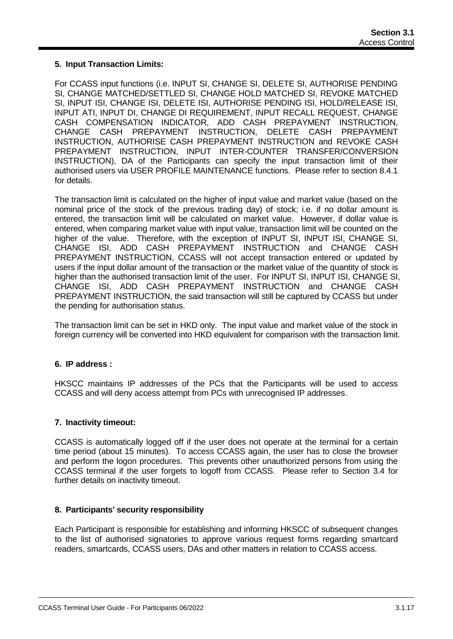## **5. Input Transaction Limits:**

For CCASS input functions (i.e. INPUT SI, CHANGE SI, DELETE SI, AUTHORISE PENDING SI, CHANGE MATCHED/SETTLED SI, CHANGE HOLD MATCHED SI, REVOKE MATCHED SI, INPUT ISI, CHANGE ISI, DELETE ISI, AUTHORISE PENDING ISI, HOLD/RELEASE ISI, INPUT ATI, INPUT DI, CHANGE DI REQUIREMENT, INPUT RECALL REQUEST, CHANGE CASH COMPENSATION INDICATOR, ADD CASH PREPAYMENT INSTRUCTION, CHANGE CASH PREPAYMENT INSTRUCTION, DELETE CASH PREPAYMENT INSTRUCTION, AUTHORISE CASH PREPAYMENT INSTRUCTION and REVOKE CASH PREPAYMENT INSTRUCTION, INPUT INTER-COUNTER TRANSFER/CONVERSION INSTRUCTION), DA of the Participants can specify the input transaction limit of their authorised users via USER PROFILE MAINTENANCE functions. Please refer to section 8.4.1 for details.

The transaction limit is calculated on the higher of input value and market value (based on the nominal price of the stock of the previous trading day) of stock; i.e. if no dollar amount is entered, the transaction limit will be calculated on market value. However, if dollar value is entered, when comparing market value with input value, transaction limit will be counted on the higher of the value. Therefore, with the exception of INPUT SI, INPUT ISI, CHANGE SI, CHANGE ISI, ADD CASH PREPAYMENT INSTRUCTION and CHANGE CASH PREPAYMENT INSTRUCTION, CCASS will not accept transaction entered or updated by users if the input dollar amount of the transaction or the market value of the quantity of stock is higher than the authorised transaction limit of the user. For INPUT SI, INPUT ISI, CHANGE SI, CHANGE ISI, ADD CASH PREPAYMENT INSTRUCTION and CHANGE CASH PREPAYMENT INSTRUCTION, the said transaction will still be captured by CCASS but under the pending for authorisation status.

The transaction limit can be set in HKD only. The input value and market value of the stock in foreign currency will be converted into HKD equivalent for comparison with the transaction limit.

#### **6. IP address :**

HKSCC maintains IP addresses of the PCs that the Participants will be used to access CCASS and will deny access attempt from PCs with unrecognised IP addresses.

#### **7. Inactivity timeout:**

CCASS is automatically logged off if the user does not operate at the terminal for a certain time period (about 15 minutes). To access CCASS again, the user has to close the browser and perform the logon procedures. This prevents other unauthorized persons from using the CCASS terminal if the user forgets to logoff from CCASS. Please refer to Section 3.4 for further details on inactivity timeout.

#### **8. Participants' security responsibility**

Each Participant is responsible for establishing and informing HKSCC of subsequent changes to the list of authorised signatories to approve various request forms regarding smartcard readers, smartcards, CCASS users, DAs and other matters in relation to CCASS access.